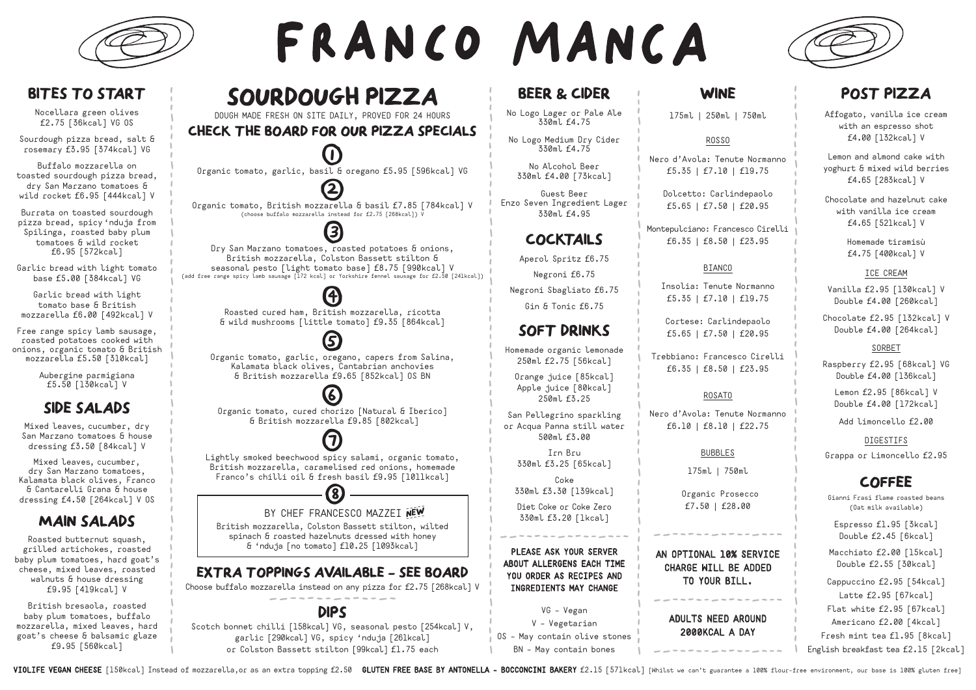

## **BITES TO START**

Nocellara green olives £2.75 [36kcal] VG OS

Sourdough pizza bread, salt & rosemary £3.95 [374kcal] VG

Buffalo mozzarella on toasted sourdough pizza bread, dry San Marzano tomatoes & wild rocket £6.95 [444kcal] V

Burrata on toasted sourdough pizza bread, spicy 'nduja from Spilinga, roasted baby plum tomatoes & wild rocket £6.95 [572kcal]

Garlic bread with light tomato base £5.00 [384kcal] VG

Garlic bread with light tomato base & British mozzarella £6.00 [492kcal] V

Free range spicy lamb sausage, roasted potatoes cooked with onions, organic tomato & British mozzarella £5.50 [310kcal]

> Aubergine parmigiana £5.50 [130kcal] V

## **SIDE SALADS**

Mixed leaves, cucumber, dry San Marzano tomatoes & house dressing £3.50 [84kcal] V

Mixed leaves, cucumber, dry San Marzano tomatoes, Kalamata black olives, Franco & Cantarelli Grana & house dressing £4.50 [264kcal] V OS

## **MAIN SALADS**

Roasted butternut squash, grilled artichokes, roasted baby plum tomatoes, hard goat's cheese, mixed leaves, roasted walnuts & house dressing £9.95 [419kcal] V

British bresaola, roasted baby plum tomatoes, buffalo mozzarella, mixed leaves, hard goat's cheese & balsamic glaze £9.95 [560kcal]

# FRANCO MANCA

## **BEER & CIDER**

No Logo Lager or Pale Ale 330ml f4.75

No Logo Medium Dry Cider 330ml f4.75

> No Alcohol Beer 330ml £4.00 [73kcal]

Guest Beer Enzo Seven Ingredient Lager 330ml £4.95

## **COCKTAILS**

Aperol Spritz £6.75

Negroni £6.75

Negroni Sbagliato £6.75 Gin & Tonic £6.75

## **SOFT DRINKS**

Homemade organic lemonade 250ml £2.75 [56kcal]

> Orange juice [85kcal] Apple juice [80kcal] 250ml £3.25

San Pellegrino sparkling or Acqua Panna still water 500ml £3.00

> Irn Bru 330ml £3.25 [65kcal]

Coke

330ml £3.30 [139kcal] Diet Coke or Coke Zero 330ml £3.20 [1kcal]

PLEASE ASK YOUR SERVER ABOUT ALLERGENS EACH TIME YOU ORDER AS RECIPES AND INGREDIENTS MAY CHANGE

VG – Vegan

## **WINE**

175ml | 250ml | 750ml

#### ROSSO

Nero d'Avola: Tenute Normanno £5.35 | £7.10 | £19.75

> Dolcetto: Carlindepaolo £5.65 | £7.50 | £20.95

Montepulciano: Francesco Cirelli £6.35 | £8.50 | £23.95

#### BIANCO

Insolia: Tenute Normanno £5.35 | £7.10 | £19.75

Cortese: Carlindepaolo £5.65 | £7.50 | £20.95

Trebbiano: Francesco Cirelli £6.35 | £8.50 | £23.95

#### ROSATO

Nero d'Avola: Tenute Normanno £6.10 | £8.10 | £22.75

#### BUBBLES

175ml | 750ml

Organic Prosecco £7.50 | £28.00

AN OPTIONAL 10% SERVICE CHARGE WILL BE ADDED TO YOUR BILL.

> ADULTS NEED AROUND 2000KCAL A DAY

**POST PIZZA**

Affogato, vanilla ice cream with an espresso shot £4.00 [132kcal] V

Lemon and almond cake with yoghurt & mixed wild berries £4.65 [283kcal] V

Chocolate and hazelnut cake with vanilla ice cream £4.65 [521kcal] V

> Homemade tiramisù £4.75 [400kcal] V

#### ICE CREAM

Vanilla £2.95 [130kcal] V Double £4.00 [260kcal]

Chocolate £2.95 [132kcal] V Double £4.00 [264kcal]

#### SORBET

Raspberry £2.95 [68kcal] VG Double £4.00 [136kcal]

Lemon £2.95 [86kcal] V Double £4.00 [172kcal]

Add limoncello £2.00

#### DIGESTIFS

Grappa or Limoncello £2.95

## **COFFEE**

Gianni Frasi flame roasted beans (Oat milk available)

Espresso £1.95 [3kcal] Double £2.45 [6kcal]

Macchiato £2.00 [15kcal] Double £2.55 [30kcal]

Cappuccino £2.95 [54kcal] Latte £2.95 [67kcal] Flat white £2.95 [67kcal] Americano £2.00 [4kcal] Fresh mint tea £1.95 [8kcal] English breakfast tea £2.15 [2kcal]

VIOLIFE VEGAN CHEESE [150kcal] Instead of mozzarella, or as an extra topping f2.50 GLUTEN FREE BASE BY ANTONELLA - BOCCONCINI BAKERY f2.15 [571kcal] [Whilst we can't guarantee a 100% flour-free environment, our base is 100

V – Vegetarian

OS – May contain olive stones BN – May contain bones

**SOURDOUGH PIZZA**

DOUGH MADE FRESH ON SITE DAILY, PROVED FOR 24 HOURS **CHECK THE BOARD FOR OUR PIZZA SPECIALS**

 $\bf U$ Organic tomato, garlic, basil & oregano £5.95 [596kcal] VG

**(2)** Organic tomato, British mozzarella & basil £7.85 [784kcal] V (choose buffalo mozzarella instead for £2.75 [268kcal]) V

3 Dry San Marzano tomatoes, roasted potatoes & onions, British mozzarella, Colston Bassett stilton & seasonal pesto [light tomato base] £8.75 [990kcal] V (add free range spicy lamb sausage [172 kcal] or Yorkshire fennel sausage for £2.50 [241kcal])

> (4) Roasted cured ham, British mozzarella, ricotta & wild mushrooms [little tomato] £9.35 [864kcal]

5 Organic tomato, garlic, oregano, capers from Salina, Kalamata black olives, Cantabrian anchovies & British mozzarella £9.65 [852kcal] OS BN

**6** Organic tomato, cured chorizo [Natural & Iberico] & British mozzarella £9.85 [802kcal]

 $\bf{U}$ Lightly smoked beechwood spicy salami, organic tomato, British mozzarella, caramelised red onions, homemade Franco's chilli oil & fresh basil £9.95 [1011kcal] 8 BY CHEF FRANCESCO MAZZEI **NEW \_ \_ \_ \_ \_**

British mozzarella, Colston Bassett stilton, wilted spinach & roasted hazelnuts dressed with honey & 'nduja [no tomato] £10.25 [1093kcal]

**EXTRA TOPPINGS AVAILABLE - SEE BOARD** Choose buffalo mozzarella instead on any pizza for £2.75 [268kcal] V

**DIPS** Scotch bonnet chilli [158kcal] VG, seasonal pesto [254kcal] V, garlic [290kcal] VG, spicy 'nduja [261kcal] or Colston Bassett stilton [99kcal] £1.75 each

**\_ \_ \_ \_ \_**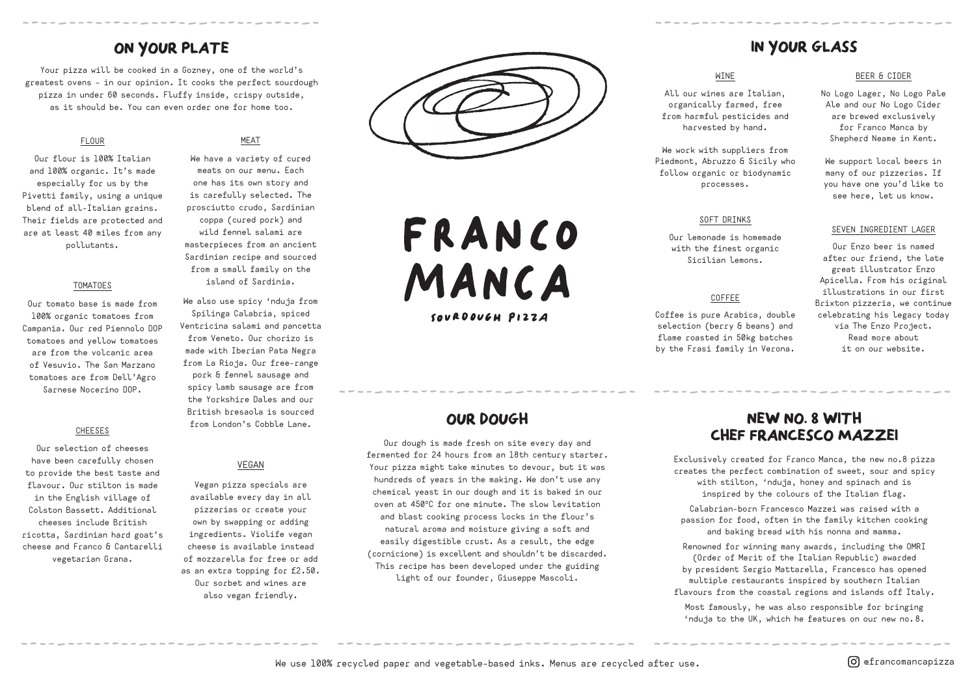## **ON YOUR PLATE**

Your pizza will be cooked in a Gozney, one of the world's greatest ovens – in our opinion. It cooks the perfect sourdough pizza in under 60 seconds. Fluffy inside, crispy outside, as it should be. You can even order one for home too.

#### FLOUR

Our flour is 100% Italian and 100% organic. It's made especially for us by the Pivetti family, using a unique blend of all-Italian grains. Their fields are protected and are at least 40 miles from any pollutants.

#### TOMATOES

Our tomato base is made from 100% organic tomatoes from Campania. Our red Piennolo DOP tomatoes and yellow tomatoes are from the volcanic area of Vesuvio. The San Marzano tomatoes are from Dell'Agro Sarnese Nocerino DOP.

#### CHEESES

Our selection of cheeses have been carefully chosen to provide the best taste and flavour. Our stilton is made in the English village of Colston Bassett. Additional cheeses include British ricotta, Sardinian hard goat's cheese and Franco & Cantarelli vegetarian Grana.

#### MEAT

We have a variety of cured meats on our menu. Each one has its own story and is carefully selected. The prosciutto crudo, Sardinian coppa (cured pork) and wild fennel salami are masterpieces from an ancient Sardinian recipe and sourced from a small family on the island of Sardinia.

We also use spicy 'nduja from Spilinga Calabria, spiced Ventricina salami and pancetta from Veneto. Our chorizo is made with Iberian Pata Negra from La Rioja. Our free-range pork & fennel sausage and spicy lamb sausage are from the Yorkshire Dales and our British bresaola is sourced from London's Cobble Lane.

#### VEGAN

Vegan pizza specials are available every day in all pizzerias or create your own by swapping or adding ingredients. Violife vegan cheese is available instead of mozzarella for free or add as an extra topping for £2.50. Our sorbet and wines are also vegan friendly.



FRANCO MANCA

SOURDOUGH PIZZA

## **OUR DOUGH**

Our dough is made fresh on site every day and fermented for 24 hours from an 18th century starter. Your pizza might take minutes to devour, but it was hundreds of years in the making. We don't use any chemical yeast in our dough and it is baked in our oven at 450°C for one minute. The slow levitation and blast cooking process locks in the flour's natural aroma and moisture giving a soft and easily digestible crust. As a result, the edge (cornicione) is excellent and shouldn't be discarded. This recipe has been developed under the guiding light of our founder, Giuseppe Mascoli.

## **IN YOUR GLASS**

#### WINE

All our wines are Italian, organically farmed, free from harmful pesticides and harvested by hand.

We work with suppliers from Piedmont, Abruzzo & Sicily who follow organic or biodynamic processes.

#### SOFT DRINKS

Our lemonade is homemade with the finest organic Sicilian lemons.

#### COFFEE

Coffee is pure Arabica, double selection (berry & beans) and flame roasted in 50kg batches by the Frasi family in Verona.

#### BEER & CIDER

No Logo Lager, No Logo Pale Ale and our No Logo Cider are brewed exclusively for Franco Manca by Shepherd Neame in Kent.

We support local beers in many of our pizzerias. If you have one you'd like to see here, let us know.

#### SEVEN INGREDIENT LAGER

Our Enzo beer is named after our friend, the late great illustrator Enzo Apicella. From his original illustrations in our first Brixton pizzeria, we continue celebrating his legacy today via The Enzo Project. Read more about it on our website.

## **NEW NO. 8 WITH CHEF FRANCESCO MAZZEI**

Exclusively created for Franco Manca, the new no.8 pizza creates the perfect combination of sweet, sour and spicy with stilton, 'nduja, honey and spinach and is inspired by the colours of the Italian flag.

Calabrian-born Francesco Mazzei was raised with a passion for food, often in the family kitchen cooking and baking bread with his nonna and mamma.

Renowned for winning many awards, including the OMRI (Order of Merit of the Italian Republic) awarded by president Sergio Mattarella, Francesco has opened multiple restaurants inspired by southern Italian flavours from the coastal regions and islands off Italy.

Most famously, he was also responsible for bringing 'nduja to the UK, which he features on our new no. 8.